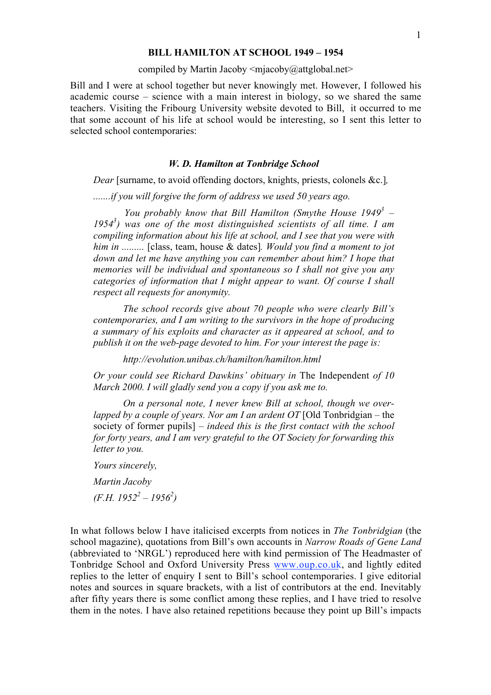# BILL HAMILTON AT SCHOOL 1949 – 1954

compiled by Martin Jacoby  $\langle$ mjacoby $\langle$ @attglobal.net $\rangle$ 

Bill and I were at school together but never knowingly met. However, I followed his academic course – science with a main interest in biology, so we shared the same teachers. Visiting the Fribourg University website devoted to Bill, it occurred to me that some account of his life at school would be interesting, so I sent this letter to selected school contemporaries:

## *W. D. Hamilton at Tonbridge School*

*Dear* [surname, to avoid offending doctors, knights, priests, colonels &c.],

*.......if you will forgive the form of address we used 50 years ago.*

*You probably know that Bill Hamilton (Smythe House 19493 – 19543 ) was one of the most distinguished scientists of all time. I am compiling information about his life at school, and I see that you were with him in .........* [class, team, house & dates]*. Would you find a moment to jot down and let me have anything you can remember about him? I hope that memories will be individual and spontaneous so I shall not give you any categories of information that I might appear to want. Of course I shall respect all requests for anonymity.*

*The school records give about 70 people who were clearly Bill's contemporaries, and I am writing to the survivors in the hope of producing a summary of his exploits and character as it appeared at school, and to publish it on the web-page devoted to him. For your interest the page is:*

*http://evolution.unibas.ch/hamilton/hamilton.html*

*Or your could see Richard Dawkins' obituary in* The Independent *of 10 March 2000. I will gladly send you a copy if you ask me to.*

*On a personal note, I never knew Bill at school, though we overlapped by a couple of years. Nor am I an ardent OT* [Old Tonbridgian – the society of former pupils] *– indeed this is the first contact with the school for forty years, and I am very grateful to the OT Society for forwarding this letter to you.*

*Yours sincerely,*

*Martin Jacoby*

*(F.H. 1952<sup>2</sup> – 19562 )*

In what follows below I have italicised excerpts from notices in *The Tonbridgian* (the school magazine), quotations from Bill's own accounts in *Narrow Roads of Gene Land* (abbreviated to 'NRGL') reproduced here with kind permission of The Headmaster of Tonbridge School and Oxford University Press www.oup.co.uk, and lightly edited replies to the letter of enquiry I sent to Bill's school contemporaries. I give editorial notes and sources in square brackets, with a list of contributors at the end. Inevitably after fifty years there is some conflict among these replies, and I have tried to resolve them in the notes. I have also retained repetitions because they point up Bill's impacts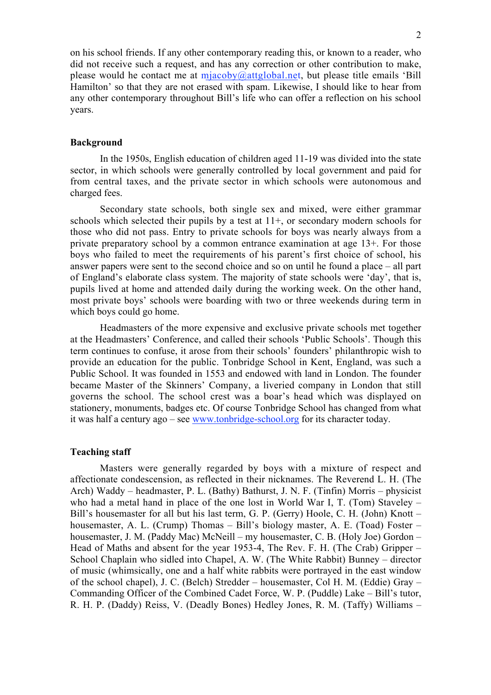on his school friends. If any other contemporary reading this, or known to a reader, who did not receive such a request, and has any correction or other contribution to make, please would he contact me at  $m$   $\frac{1}{2}$  ( $\frac{1}{2}$  attglobal.net, but please title emails 'Bill Hamilton' so that they are not erased with spam. Likewise, I should like to hear from any other contemporary throughout Bill's life who can offer a reflection on his school years.

# Background

In the 1950s, English education of children aged 11-19 was divided into the state sector, in which schools were generally controlled by local government and paid for from central taxes, and the private sector in which schools were autonomous and charged fees.

Secondary state schools, both single sex and mixed, were either grammar schools which selected their pupils by a test at 11+, or secondary modern schools for those who did not pass. Entry to private schools for boys was nearly always from a private preparatory school by a common entrance examination at age 13+. For those boys who failed to meet the requirements of his parent's first choice of school, his answer papers were sent to the second choice and so on until he found a place – all part of England's elaborate class system. The majority of state schools were 'day', that is, pupils lived at home and attended daily during the working week. On the other hand, most private boys' schools were boarding with two or three weekends during term in which boys could go home.

Headmasters of the more expensive and exclusive private schools met together at the Headmasters' Conference, and called their schools 'Public Schools'. Though this term continues to confuse, it arose from their schools' founders' philanthropic wish to provide an education for the public. Tonbridge School in Kent, England, was such a Public School. It was founded in 1553 and endowed with land in London. The founder became Master of the Skinners' Company, a liveried company in London that still governs the school. The school crest was a boar's head which was displayed on stationery, monuments, badges etc. Of course Tonbridge School has changed from what it was half a century ago – see www.tonbridge-school.org for its character today.

# Teaching staff

Masters were generally regarded by boys with a mixture of respect and affectionate condescension, as reflected in their nicknames. The Reverend L. H. (The Arch) Waddy – headmaster, P. L. (Bathy) Bathurst, J. N. F. (Tinfin) Morris – physicist who had a metal hand in place of the one lost in World War I, T. (Tom) Staveley – Bill's housemaster for all but his last term, G. P. (Gerry) Hoole, C. H. (John) Knott – housemaster, A. L. (Crump) Thomas – Bill's biology master, A. E. (Toad) Foster – housemaster, J. M. (Paddy Mac) McNeill – my housemaster, C. B. (Holy Joe) Gordon – Head of Maths and absent for the year 1953-4, The Rev. F. H. (The Crab) Gripper – School Chaplain who sidled into Chapel, A. W. (The White Rabbit) Bunney – director of music (whimsically, one and a half white rabbits were portrayed in the east window of the school chapel), J. C. (Belch) Stredder – housemaster, Col H. M. (Eddie) Gray – Commanding Officer of the Combined Cadet Force, W. P. (Puddle) Lake – Bill's tutor, R. H. P. (Daddy) Reiss, V. (Deadly Bones) Hedley Jones, R. M. (Taffy) Williams –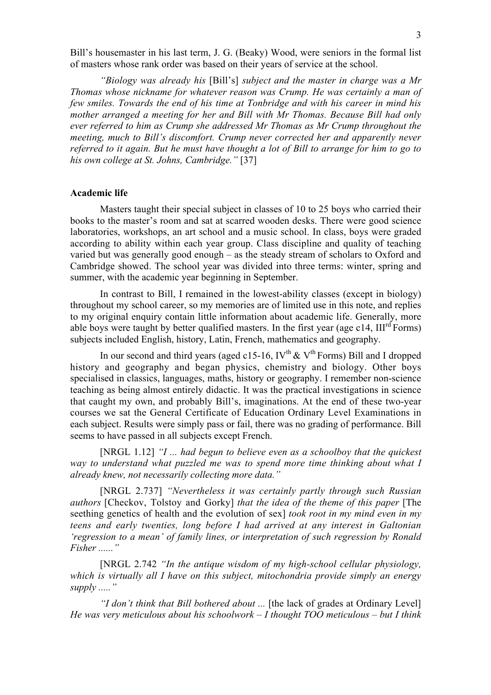Bill's housemaster in his last term, J. G. (Beaky) Wood, were seniors in the formal list of masters whose rank order was based on their years of service at the school.

*"Biology was already his* [Bill's] *subject and the master in charge was a Mr Thomas whose nickname for whatever reason was Crump. He was certainly a man of few smiles. Towards the end of his time at Tonbridge and with his career in mind his mother arranged a meeting for her and Bill with Mr Thomas. Because Bill had only ever referred to him as Crump she addressed Mr Thomas as Mr Crump throughout the meeting, much to Bill's discomfort. Crump never corrected her and apparently never referred to it again. But he must have thought a lot of Bill to arrange for him to go to his own college at St. Johns, Cambridge."* [37]

## Academic life

Masters taught their special subject in classes of 10 to 25 boys who carried their books to the master's room and sat at scarred wooden desks. There were good science laboratories, workshops, an art school and a music school. In class, boys were graded according to ability within each year group. Class discipline and quality of teaching varied but was generally good enough – as the steady stream of scholars to Oxford and Cambridge showed. The school year was divided into three terms: winter, spring and summer, with the academic year beginning in September.

In contrast to Bill, I remained in the lowest-ability classes (except in biology) throughout my school career, so my memories are of limited use in this note, and replies to my original enquiry contain little information about academic life. Generally, more able boys were taught by better qualified masters. In the first year (age c14,  $III<sup>rd</sup>$  Forms) subjects included English, history, Latin, French, mathematics and geography.

In our second and third years (aged c15-16,  $IV^{th}$  &  $V^{th}$  Forms) Bill and I dropped history and geography and began physics, chemistry and biology. Other boys specialised in classics, languages, maths, history or geography. I remember non-science teaching as being almost entirely didactic. It was the practical investigations in science that caught my own, and probably Bill's, imaginations. At the end of these two-year courses we sat the General Certificate of Education Ordinary Level Examinations in each subject. Results were simply pass or fail, there was no grading of performance. Bill seems to have passed in all subjects except French.

[NRGL 1.12] *"I ... had begun to believe even as a schoolboy that the quickest way to understand what puzzled me was to spend more time thinking about what I already knew, not necessarily collecting more data."*

[NRGL 2.737] *"Nevertheless it was certainly partly through such Russian authors* [Checkov, Tolstoy and Gorky] *that the idea of the theme of this paper* [The seething genetics of health and the evolution of sex] *took root in my mind even in my teens and early twenties, long before I had arrived at any interest in Galtonian 'regression to a mean' of family lines, or interpretation of such regression by Ronald Fisher ......"*

[NRGL 2.742 *"In the antique wisdom of my high-school cellular physiology, which is virtually all I have on this subject, mitochondria provide simply an energy supply ....."*

*"I don't think that Bill bothered about ...* [the lack of grades at Ordinary Level] *He was very meticulous about his schoolwork – I thought TOO meticulous – but I think*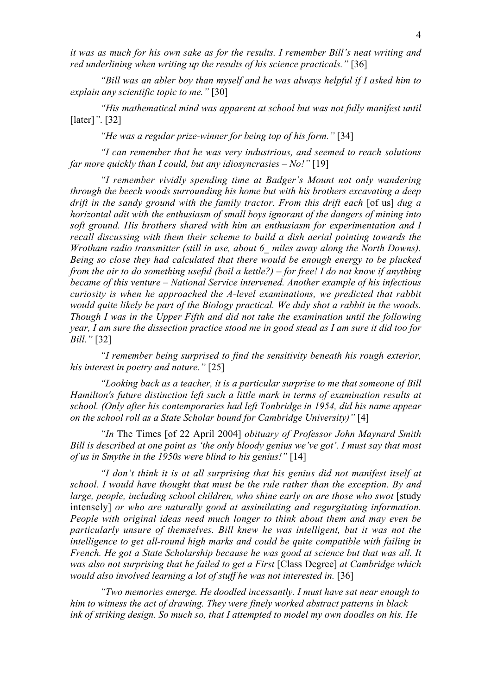*it was as much for his own sake as for the results. I remember Bill's neat writing and red underlining when writing up the results of his science practicals."* [36]

*"Bill was an abler boy than myself and he was always helpful if I asked him to explain any scientific topic to me."* [30]

*"His mathematical mind was apparent at school but was not fully manifest until* [later]*"*. [32]

*"He was a regular prize-winner for being top of his form."* [34]

*"I can remember that he was very industrious, and seemed to reach solutions far more quickly than I could, but any idiosyncrasies – No!"* [19]

*"I remember vividly spending time at Badger's Mount not only wandering through the beech woods surrounding his home but with his brothers excavating a deep drift in the sandy ground with the family tractor. From this drift each* [of us] *dug a horizontal adit with the enthusiasm of small boys ignorant of the dangers of mining into soft ground. His brothers shared with him an enthusiasm for experimentation and I recall discussing with them their scheme to build a dish aerial pointing towards the Wrotham radio transmitter (still in use, about 6\_ miles away along the North Downs). Being so close they had calculated that there would be enough energy to be plucked from the air to do something useful (boil a kettle?) – for free! I do not know if anything became of this venture – National Service intervened. Another example of his infectious curiosity is when he approached the A-level examinations, we predicted that rabbit would quite likely be part of the Biology practical. We duly shot a rabbit in the woods. Though I was in the Upper Fifth and did not take the examination until the following year, I am sure the dissection practice stood me in good stead as I am sure it did too for Bill."* [32]

*"I remember being surprised to find the sensitivity beneath his rough exterior, his interest in poetry and nature."* [25]

*"Looking back as a teacher, it is a particular surprise to me that someone of Bill Hamilton's future distinction left such a little mark in terms of examination results at school. (Only after his contemporaries had left Tonbridge in 1954, did his name appear on the school roll as a State Scholar bound for Cambridge University)"* [4]

*"In* The Times [of 22 April 2004] *obituary of Professor John Maynard Smith Bill is described at one point as 'the only bloody genius we've got'. I must say that most of us in Smythe in the 1950s were blind to his genius!"* [14]

*"I don't think it is at all surprising that his genius did not manifest itself at school. I would have thought that must be the rule rather than the exception. By and large, people, including school children, who shine early on are those who swot* [study intensely] *or who are naturally good at assimilating and regurgitating information. People with original ideas need much longer to think about them and may even be particularly unsure of themselves. Bill knew he was intelligent, but it was not the intelligence to get all-round high marks and could be quite compatible with failing in French. He got a State Scholarship because he was good at science but that was all. It was also not surprising that he failed to get a First* [Class Degree] *at Cambridge which would also involved learning a lot of stuff he was not interested in.* [36]

*"Two memories emerge. He doodled incessantly. I must have sat near enough to him to witness the act of drawing. They were finely worked abstract patterns in black ink of striking design. So much so, that I attempted to model my own doodles on his. He*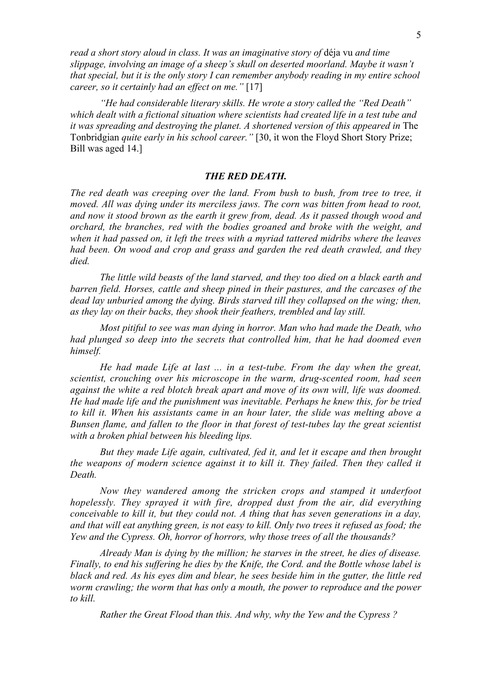*read a short story aloud in class. It was an imaginative story of* déja vu *and time slippage, involving an image of a sheep's skull on deserted moorland. Maybe it wasn't that special, but it is the only story I can remember anybody reading in my entire school career, so it certainly had an effect on me."* [17]

*"He had considerable literary skills. He wrote a story called the "Red Death" which dealt with a fictional situation where scientists had created life in a test tube and it was spreading and destroying the planet. A shortened version of this appeared in* The Tonbridgian *quite early in his school career."* [30, it won the Floyd Short Story Prize; Bill was aged 14.]

### *THE RED DEATH.*

*The red death was creeping over the land. From bush to bush, from tree to tree, it moved. All was dying under its merciless jaws. The corn was bitten from head to root, and now it stood brown as the earth it grew from, dead. As it passed though wood and orchard, the branches, red with the bodies groaned and broke with the weight, and when it had passed on, it left the trees with a myriad tattered midribs where the leaves had been. On wood and crop and grass and garden the red death crawled, and they died.*

*The little wild beasts of the land starved, and they too died on a black earth and barren field. Horses, cattle and sheep pined in their pastures, and the carcases of the dead lay unburied among the dying. Birds starved till they collapsed on the wing; then, as they lay on their backs, they shook their feathers, trembled and lay still.*

*Most pitiful to see was man dying in horror. Man who had made the Death, who had plunged so deep into the secrets that controlled him, that he had doomed even himself.*

*He had made Life at last ... in a test-tube. From the day when the great, scientist, crouching over his microscope in the warm, drug-scented room, had seen against the white a red blotch break apart and move of its own will, life was doomed. He had made life and the punishment was inevitable. Perhaps he knew this, for be tried to kill it. When his assistants came in an hour later, the slide was melting above a Bunsen flame, and fallen to the floor in that forest of test-tubes lay the great scientist with a broken phial between his bleeding lips.*

*But they made Life again, cultivated, fed it, and let it escape and then brought the weapons of modern science against it to kill it. They failed. Then they called it Death.*

*Now they wandered among the stricken crops and stamped it underfoot hopelessly. They sprayed it with fire, dropped dust from the air, did everything conceivable to kill it, but they could not. A thing that has seven generations in a day, and that will eat anything green, is not easy to kill. Only two trees it refused as food; the Yew and the Cypress. Oh, horror of horrors, why those trees of all the thousands?*

*Already Man is dying by the million; he starves in the street, he dies of disease. Finally, to end his suffering he dies by the Knife, the Cord. and the Bottle whose label is black and red. As his eyes dim and blear, he sees beside him in the gutter, the little red worm crawling; the worm that has only a mouth, the power to reproduce and the power to kill.*

*Rather the Great Flood than this. And why, why the Yew and the Cypress ?*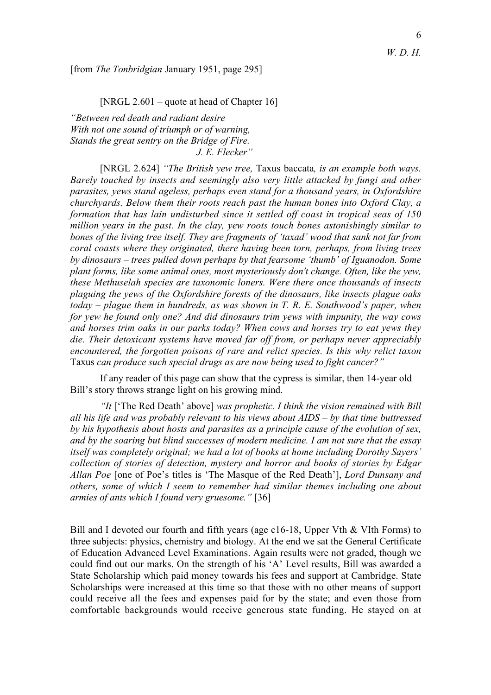[from *The Tonbridgian* January 1951, page 295]

[NRGL 2.601 – quote at head of Chapter 16]

*"Between red death and radiant desire With not one sound of triumph or of warning, Stands the great sentry on the Bridge of Fire. J. E. Flecker"*

[NRGL 2.624] *"The British yew tree,* Taxus baccata*, is an example both ways. Barely touched by insects and seemingly also very little attacked by fungi and other parasites, yews stand ageless, perhaps even stand for a thousand years, in Oxfordshire churchyards. Below them their roots reach past the human bones into Oxford Clay, a formation that has lain undisturbed since it settled off coast in tropical seas of 150 million years in the past. In the clay, yew roots touch bones astonishingly similar to bones of the living tree itself. They are fragments of 'taxad' wood that sank not far from coral coasts where they originated, there having been torn, perhaps, from living trees by dinosaurs – trees pulled down perhaps by that fearsome 'thumb' of Iguanodon. Some plant forms, like some animal ones, most mysteriously don't change. Often, like the yew, these Methuselah species are taxonomic loners. Were there once thousands of insects plaguing the yews of the Oxfordshire forests of the dinosaurs, like insects plague oaks today – plague them in hundreds, as was shown in T. R. E. Southwood's paper, when for yew he found only one? And did dinosaurs trim yews with impunity, the way cows and horses trim oaks in our parks today? When cows and horses try to eat yews they die. Their detoxicant systems have moved far off from, or perhaps never appreciably encountered, the forgotten poisons of rare and relict species. Is this why relict taxon* Taxus *can produce such special drugs as are now being used to fight cancer?"*

If any reader of this page can show that the cypress is similar, then 14-year old Bill's story throws strange light on his growing mind.

*"It* ['The Red Death' above] *was prophetic. I think the vision remained with Bill all his life and was probably relevant to his views about AIDS – by that time buttressed by his hypothesis about hosts and parasites as a principle cause of the evolution of sex, and by the soaring but blind successes of modern medicine. I am not sure that the essay itself was completely original; we had a lot of books at home including Dorothy Sayers' collection of stories of detection, mystery and horror and books of stories by Edgar Allan Poe* [one of Poe's titles is 'The Masque of the Red Death'], *Lord Dunsany and others, some of which I seem to remember had similar themes including one about armies of ants which I found very gruesome."* [36]

Bill and I devoted our fourth and fifth years (age c16-18, Upper Vth & VIth Forms) to three subjects: physics, chemistry and biology. At the end we sat the General Certificate of Education Advanced Level Examinations. Again results were not graded, though we could find out our marks. On the strength of his 'A' Level results, Bill was awarded a State Scholarship which paid money towards his fees and support at Cambridge. State Scholarships were increased at this time so that those with no other means of support could receive all the fees and expenses paid for by the state; and even those from comfortable backgrounds would receive generous state funding. He stayed on at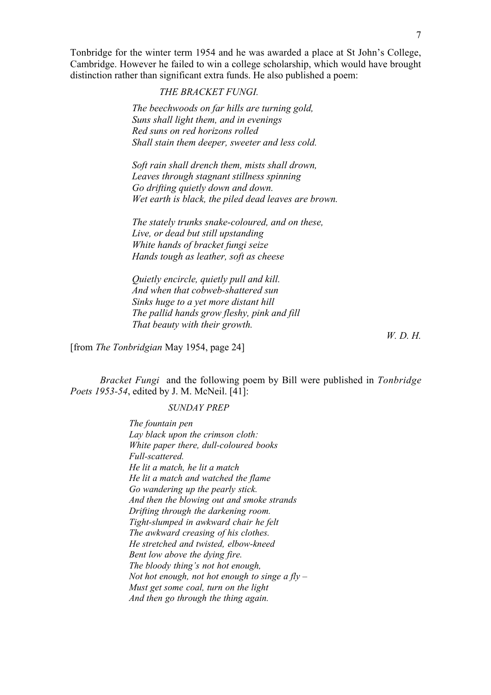Tonbridge for the winter term 1954 and he was awarded a place at St John's College, Cambridge. However he failed to win a college scholarship, which would have brought distinction rather than significant extra funds. He also published a poem:

*THE BRACKET FUNGI.*

*The beechwoods on far hills are turning gold, Suns shall light them, and in evenings Red suns on red horizons rolled Shall stain them deeper, sweeter and less cold.*

*Soft rain shall drench them, mists shall drown, Leaves through stagnant stillness spinning Go drifting quietly down and down. Wet earth is black, the piled dead leaves are brown.*

*The stately trunks snake-coloured, and on these, Live, or dead but still upstanding White hands of bracket fungi seize Hands tough as leather, soft as cheese*

*Quietly encircle, quietly pull and kill. And when that cobweb-shattered sun Sinks huge to a yet more distant hill The pallid hands grow fleshy, pink and fill That beauty with their growth.*

[from *The Tonbridgian* May 1954, page 24]

*Bracket Fungi* and the following poem by Bill were published in *Tonbridge Poets 1953-54*, edited by J. M. McNeil. [41]:

#### *SUNDAY PREP*

*The fountain pen Lay black upon the crimson cloth: White paper there, dull-coloured books Full-scattered. He lit a match, he lit a match He lit a match and watched the flame Go wandering up the pearly stick. And then the blowing out and smoke strands Drifting through the darkening room. Tight-slumped in awkward chair he felt The awkward creasing of his clothes. He stretched and twisted, elbow-kneed Bent low above the dying fire. The bloody thing's not hot enough, Not hot enough, not hot enough to singe a fly – Must get some coal, turn on the light And then go through the thing again.*

*W. D. H.*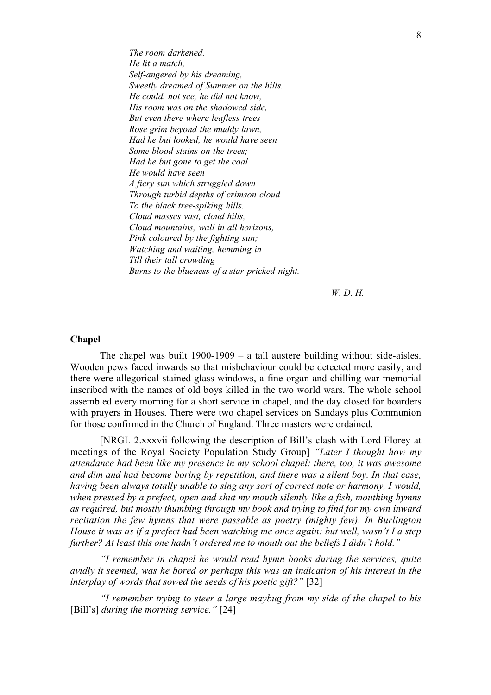*The room darkened. He lit a match, Self-angered by his dreaming, Sweetly dreamed of Summer on the hills. He could. not see, he did not know, His room was on the shadowed side, But even there where leafless trees Rose grim beyond the muddy lawn, Had he but looked, he would have seen Some blood-stains on the trees; Had he but gone to get the coal He would have seen A fiery sun which struggled down Through turbid depths of crimson cloud To the black tree-spiking hills. Cloud masses vast, cloud hills, Cloud mountains, wall in all horizons, Pink coloured by the fighting sun; Watching and waiting, hemming in Till their tall crowding Burns to the blueness of a star-pricked night.*

*W. D. H.*

# Chapel

The chapel was built 1900-1909 – a tall austere building without side-aisles. Wooden pews faced inwards so that misbehaviour could be detected more easily, and there were allegorical stained glass windows, a fine organ and chilling war-memorial inscribed with the names of old boys killed in the two world wars. The whole school assembled every morning for a short service in chapel, and the day closed for boarders with prayers in Houses. There were two chapel services on Sundays plus Communion for those confirmed in the Church of England. Three masters were ordained.

[NRGL 2.xxxvii following the description of Bill's clash with Lord Florey at meetings of the Royal Society Population Study Group] *"Later I thought how my attendance had been like my presence in my school chapel: there, too, it was awesome and dim and had become boring by repetition, and there was a silent boy. In that case, having been always totally unable to sing any sort of correct note or harmony, I would, when pressed by a prefect, open and shut my mouth silently like a fish, mouthing hymns as required, but mostly thumbing through my book and trying to find for my own inward recitation the few hymns that were passable as poetry (mighty few). In Burlington House it was as if a prefect had been watching me once again: but well, wasn't I a step further? At least this one hadn't ordered me to mouth out the beliefs I didn't hold."*

*"I remember in chapel he would read hymn books during the services, quite avidly it seemed, was he bored or perhaps this was an indication of his interest in the interplay of words that sowed the seeds of his poetic gift?"* [32]

*"I remember trying to steer a large maybug from my side of the chapel to his* [Bill's] *during the morning service."* [24]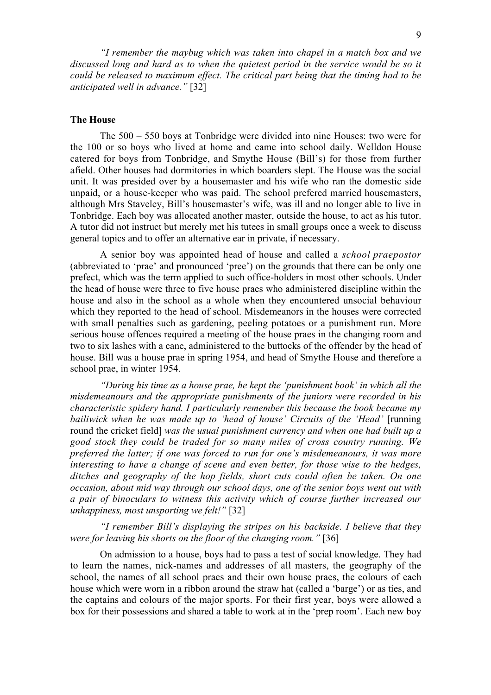*"I remember the maybug which was taken into chapel in a match box and we discussed long and hard as to when the quietest period in the service would be so it could be released to maximum effect. The critical part being that the timing had to be anticipated well in advance."* [32]

### The House

The 500 – 550 boys at Tonbridge were divided into nine Houses: two were for the 100 or so boys who lived at home and came into school daily. Welldon House catered for boys from Tonbridge, and Smythe House (Bill's) for those from further afield. Other houses had dormitories in which boarders slept. The House was the social unit. It was presided over by a housemaster and his wife who ran the domestic side unpaid, or a house-keeper who was paid. The school prefered married housemasters, although Mrs Staveley, Bill's housemaster's wife, was ill and no longer able to live in Tonbridge. Each boy was allocated another master, outside the house, to act as his tutor. A tutor did not instruct but merely met his tutees in small groups once a week to discuss general topics and to offer an alternative ear in private, if necessary.

A senior boy was appointed head of house and called a *school praepostor* (abbreviated to 'prae' and pronounced 'pree') on the grounds that there can be only one prefect, which was the term applied to such office-holders in most other schools. Under the head of house were three to five house praes who administered discipline within the house and also in the school as a whole when they encountered unsocial behaviour which they reported to the head of school. Misdemeanors in the houses were corrected with small penalties such as gardening, peeling potatoes or a punishment run. More serious house offences required a meeting of the house praes in the changing room and two to six lashes with a cane, administered to the buttocks of the offender by the head of house. Bill was a house prae in spring 1954, and head of Smythe House and therefore a school prae, in winter 1954.

*"During his time as a house prae, he kept the 'punishment book' in which all the misdemeanours and the appropriate punishments of the juniors were recorded in his characteristic spidery hand. I particularly remember this because the book became my bailiwick when he was made up to 'head of house' Circuits of the 'Head'* [running round the cricket field] *was the usual punishment currency and when one had built up a good stock they could be traded for so many miles of cross country running. We preferred the latter; if one was forced to run for one's misdemeanours, it was more interesting to have a change of scene and even better, for those wise to the hedges, ditches and geography of the hop fields, short cuts could often be taken. On one occasion, about mid way through our school days, one of the senior boys went out with a pair of binoculars to witness this activity which of course further increased our unhappiness, most unsporting we felt!"* [32]

*"I remember Bill's displaying the stripes on his backside. I believe that they were for leaving his shorts on the floor of the changing room."* [36]

On admission to a house, boys had to pass a test of social knowledge. They had to learn the names, nick-names and addresses of all masters, the geography of the school, the names of all school praes and their own house praes, the colours of each house which were worn in a ribbon around the straw hat (called a 'barge') or as ties, and the captains and colours of the major sports. For their first year, boys were allowed a box for their possessions and shared a table to work at in the 'prep room'. Each new boy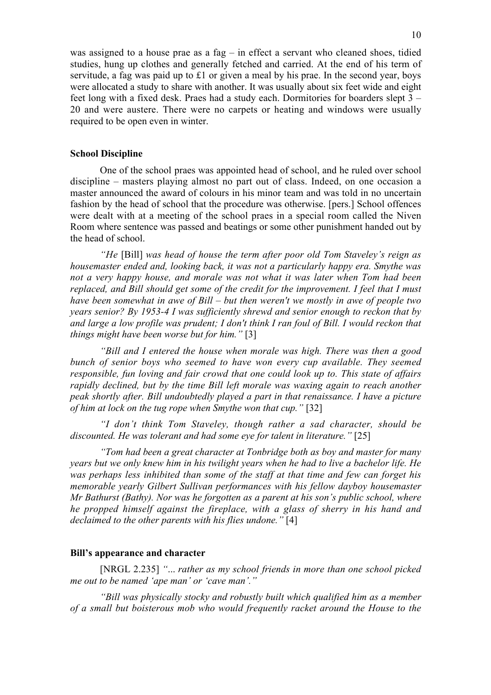was assigned to a house prae as a fag – in effect a servant who cleaned shoes, tidied studies, hung up clothes and generally fetched and carried. At the end of his term of servitude, a fag was paid up to £1 or given a meal by his prae. In the second year, boys were allocated a study to share with another. It was usually about six feet wide and eight feet long with a fixed desk. Praes had a study each. Dormitories for boarders slept 3 – 20 and were austere. There were no carpets or heating and windows were usually required to be open even in winter.

### School Discipline

One of the school praes was appointed head of school, and he ruled over school discipline – masters playing almost no part out of class. Indeed, on one occasion a master announced the award of colours in his minor team and was told in no uncertain fashion by the head of school that the procedure was otherwise. [pers.] School offences were dealt with at a meeting of the school praes in a special room called the Niven Room where sentence was passed and beatings or some other punishment handed out by the head of school.

*"He* [Bill] *was head of house the term after poor old Tom Staveley's reign as housemaster ended and, looking back, it was not a particularly happy era. Smythe was not a very happy house, and morale was not what it was later when Tom had been replaced, and Bill should get some of the credit for the improvement. I feel that I must have been somewhat in awe of Bill – but then weren't we mostly in awe of people two years senior? By 1953-4 I was sufficiently shrewd and senior enough to reckon that by and large a low profile was prudent; I don't think I ran foul of Bill. I would reckon that things might have been worse but for him."* [3]

*"Bill and I entered the house when morale was high. There was then a good bunch of senior boys who seemed to have won every cup available. They seemed responsible, fun loving and fair crowd that one could look up to. This state of affairs rapidly declined, but by the time Bill left morale was waxing again to reach another peak shortly after. Bill undoubtedly played a part in that renaissance. I have a picture of him at lock on the tug rope when Smythe won that cup."* [32]

*"I don't think Tom Staveley, though rather a sad character, should be discounted. He was tolerant and had some eye for talent in literature."* [25]

*"Tom had been a great character at Tonbridge both as boy and master for many years but we only knew him in his twilight years when he had to live a bachelor life. He was perhaps less inhibited than some of the staff at that time and few can forget his memorable yearly Gilbert Sullivan performances with his fellow dayboy housemaster Mr Bathurst (Bathy). Nor was he forgotten as a parent at his son's public school, where he propped himself against the fireplace, with a glass of sherry in his hand and declaimed to the other parents with his flies undone."* [4]

#### Bill's appearance and character

[NRGL 2.235] *"*... *rather as my school friends in more than one school picked me out to be named 'ape man' or 'cave man'."*

*"Bill was physically stocky and robustly built which qualified him as a member of a small but boisterous mob who would frequently racket around the House to the*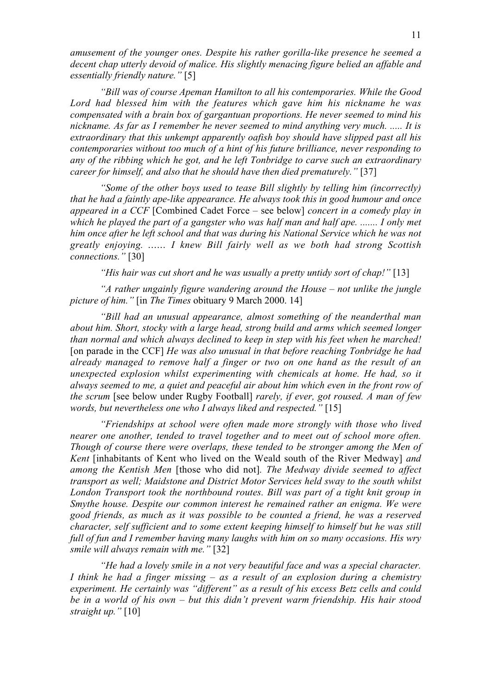*amusement of the younger ones. Despite his rather gorilla-like presence he seemed a decent chap utterly devoid of malice. His slightly menacing figure belied an affable and essentially friendly nature."* [5]

*"Bill was of course Apeman Hamilton to all his contemporaries. While the Good Lord had blessed him with the features which gave him his nickname he was compensated with a brain box of gargantuan proportions. He never seemed to mind his nickname. As far as I remember he never seemed to mind anything very much. ..... It is extraordinary that this unkempt apparently oafish boy should have slipped past all his contemporaries without too much of a hint of his future brilliance, never responding to any of the ribbing which he got, and he left Tonbridge to carve such an extraordinary career for himself, and also that he should have then died prematurely."* [37]

*"Some of the other boys used to tease Bill slightly by telling him (incorrectly) that he had a faintly ape-like appearance. He always took this in good humour and once appeared in a CCF* [Combined Cadet Force – see below] *concert in a comedy play in which he played the part of a gangster who was half man and half ape. ....... I only met him once after he left school and that was during his National Service which he was not greatly enjoying.* ...... *I knew Bill fairly well as we both had strong Scottish connections."* [30]

*"His hair was cut short and he was usually a pretty untidy sort of chap!"* [13]

*"A rather ungainly figure wandering around the House – not unlike the jungle picture of him."* [in *The Times* obituary 9 March 2000. 14]

*"Bill had an unusual appearance, almost something of the neanderthal man about him. Short, stocky with a large head, strong build and arms which seemed longer than normal and which always declined to keep in step with his feet when he marched!* [on parade in the CCF] *He was also unusual in that before reaching Tonbridge he had already managed to remove half a finger or two on one hand as the result of an unexpected explosion whilst experimenting with chemicals at home. He had, so it always seemed to me, a quiet and peaceful air about him which even in the front row of the scrum* [see below under Rugby Football] *rarely, if ever, got roused. A man of few words, but nevertheless one who I always liked and respected."* [15]

*"Friendships at school were often made more strongly with those who lived nearer one another, tended to travel together and to meet out of school more often. Though of course there were overlaps, these tended to be stronger among the Men of Kent* [inhabitants of Kent who lived on the Weald south of the River Medway] *and among the Kentish Men* [those who did not]*. The Medway divide seemed to affect transport as well; Maidstone and District Motor Services held sway to the south whilst London Transport took the northbound routes. Bill was part of a tight knit group in Smythe house. Despite our common interest he remained rather an enigma. We were good friends, as much as it was possible to be counted a friend, he was a reserved character, self sufficient and to some extent keeping himself to himself but he was still full of fun and I remember having many laughs with him on so many occasions. His wry smile will always remain with me."* [32]

*"He had a lovely smile in a not very beautiful face and was a special character. I think he had a finger missing – as a result of an explosion during a chemistry experiment. He certainly was "different" as a result of his excess Betz cells and could be in a world of his own – but this didn't prevent warm friendship. His hair stood straight up."* [10]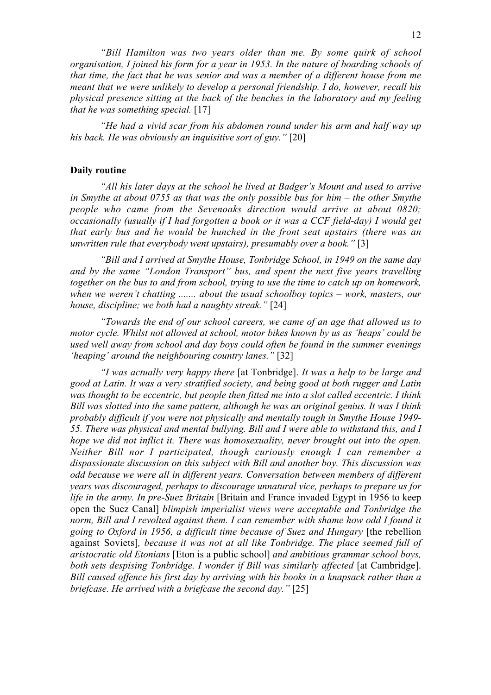*"Bill Hamilton was two years older than me. By some quirk of school organisation, I joined his form for a year in 1953. In the nature of boarding schools of that time, the fact that he was senior and was a member of a different house from me meant that we were unlikely to develop a personal friendship. I do, however, recall his physical presence sitting at the back of the benches in the laboratory and my feeling that he was something special.* [17]

*"He had a vivid scar from his abdomen round under his arm and half way up his back. He was obviously an inquisitive sort of guy."* [20]

#### Daily routine

*"All his later days at the school he lived at Badger's Mount and used to arrive in Smythe at about 0755 as that was the only possible bus for him – the other Smythe people who came from the Sevenoaks direction would arrive at about 0820; occasionally (usually if I had forgotten a book or it was a CCF field-day) I would get that early bus and he would be hunched in the front seat upstairs (there was an unwritten rule that everybody went upstairs), presumably over a book."* [3]

*"Bill and I arrived at Smythe House, Tonbridge School, in 1949 on the same day and by the same "London Transport" bus, and spent the next five years travelling together on the bus to and from school, trying to use the time to catch up on homework, when we weren't chatting ....... about the usual schoolboy topics – work, masters, our house, discipline; we both had a naughty streak."* [24]

*"Towards the end of our school careers, we came of an age that allowed us to motor cycle. Whilst not allowed at school, motor bikes known by us as 'heaps' could be used well away from school and day boys could often be found in the summer evenings 'heaping' around the neighbouring country lanes."* [32]

*"I was actually very happy there* [at Tonbridge]. *It was a help to be large and good at Latin. It was a very stratified society, and being good at both rugger and Latin was thought to be eccentric, but people then fitted me into a slot called eccentric. I think Bill was slotted into the same pattern, although he was an original genius. It was I think probably difficult if you were not physically and mentally tough in Smythe House 1949- 55. There was physical and mental bullying. Bill and I were able to withstand this, and I hope we did not inflict it. There was homosexuality, never brought out into the open. Neither Bill nor I participated, though curiously enough I can remember a dispassionate discussion on this subject with Bill and another boy. This discussion was odd because we were all in different years. Conversation between members of different years was discouraged, perhaps to discourage unnatural vice, perhaps to prepare us for life in the army. In pre-Suez Britain* [Britain and France invaded Egypt in 1956 to keep open the Suez Canal] *blimpish imperialist views were acceptable and Tonbridge the norm, Bill and I revolted against them. I can remember with shame how odd I found it going to Oxford in 1956, a difficult time because of Suez and Hungary* [the rebellion against Soviets]*, because it was not at all like Tonbridge. The place seemed full of aristocratic old Etonians* [Eton is a public school] *and ambitious grammar school boys, both sets despising Tonbridge. I wonder if Bill was similarly affected* [at Cambridge]. *Bill caused offence his first day by arriving with his books in a knapsack rather than a briefcase. He arrived with a briefcase the second day."* [25]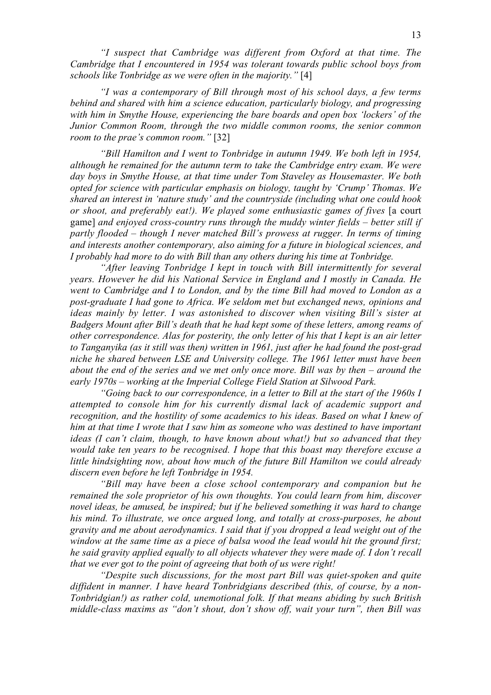*"I suspect that Cambridge was different from Oxford at that time. The Cambridge that I encountered in 1954 was tolerant towards public school boys from schools like Tonbridge as we were often in the majority."* [4]

*"I was a contemporary of Bill through most of his school days, a few terms behind and shared with him a science education, particularly biology, and progressing with him in Smythe House, experiencing the bare boards and open box 'lockers' of the Junior Common Room, through the two middle common rooms, the senior common room to the prae's common room."* [32]

*"Bill Hamilton and I went to Tonbridge in autumn 1949. We both left in 1954, although he remained for the autumn term to take the Cambridge entry exam. We were day boys in Smythe House, at that time under Tom Staveley as Housemaster. We both opted for science with particular emphasis on biology, taught by 'Crump' Thomas. We shared an interest in 'nature study' and the countryside (including what one could hook or shoot, and preferably eat!). We played some enthusiastic games of fives* [a court game] *and enjoyed cross-country runs through the muddy winter fields – better still if partly flooded – though I never matched Bill's prowess at rugger. In terms of timing and interests another contemporary, also aiming for a future in biological sciences, and I probably had more to do with Bill than any others during his time at Tonbridge.*

*"After leaving Tonbridge I kept in touch with Bill intermittently for several years. However he did his National Service in England and I mostly in Canada. He went to Cambridge and I to London, and by the time Bill had moved to London as a post-graduate I had gone to Africa. We seldom met but exchanged news, opinions and ideas mainly by letter. I was astonished to discover when visiting Bill's sister at Badgers Mount after Bill's death that he had kept some of these letters, among reams of other correspondence. Alas for posterity, the only letter of his that I kept is an air letter to Tanganyika (as it still was then) written in 1961, just after he had found the post-grad niche he shared between LSE and University college. The 1961 letter must have been about the end of the series and we met only once more. Bill was by then – around the early 1970s – working at the Imperial College Field Station at Silwood Park.*

*"Going back to our correspondence, in a letter to Bill at the start of the 1960s I attempted to console him for his currently dismal lack of academic support and recognition, and the hostility of some academics to his ideas. Based on what I knew of him at that time I wrote that I saw him as someone who was destined to have important ideas (I can't claim, though, to have known about what!) but so advanced that they would take ten years to be recognised. I hope that this boast may therefore excuse a little hindsighting now, about how much of the future Bill Hamilton we could already discern even before he left Tonbridge in 1954.*

*"Bill may have been a close school contemporary and companion but he remained the sole proprietor of his own thoughts. You could learn from him, discover novel ideas, be amused, be inspired; but if he believed something it was hard to change his mind. To illustrate, we once argued long, and totally at cross-purposes, he about gravity and me about aerodynamics. I said that if you dropped a lead weight out of the window at the same time as a piece of balsa wood the lead would hit the ground first; he said gravity applied equally to all objects whatever they were made of. I don't recall that we ever got to the point of agreeing that both of us were right!*

*"Despite such discussions, for the most part Bill was quiet-spoken and quite diffident in manner. I have heard Tonbridgians described (this, of course, by a non-Tonbridgian!) as rather cold, unemotional folk. If that means abiding by such British middle-class maxims as "don't shout, don't show off, wait your turn", then Bill was*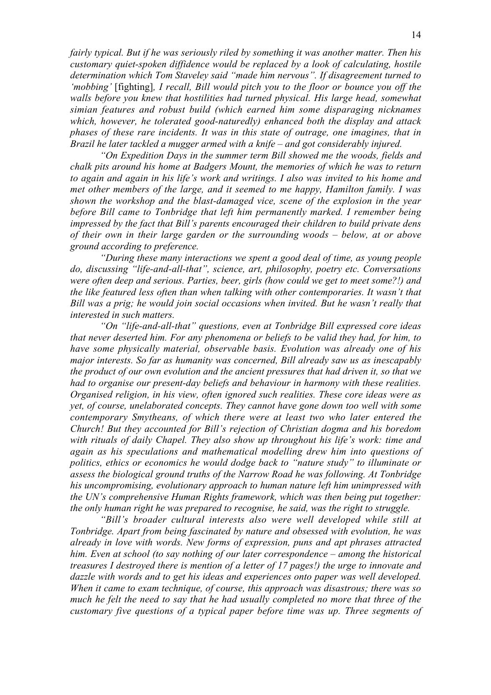*fairly typical. But if he was seriously riled by something it was another matter. Then his customary quiet-spoken diffidence would be replaced by a look of calculating, hostile determination which Tom Staveley said "made him nervous". If disagreement turned to 'mobbing'* [fighting]*, I recall, Bill would pitch you to the floor or bounce you off the walls before you knew that hostilities had turned physical. His large head, somewhat simian features and robust build (which earned him some disparaging nicknames which, however, he tolerated good-naturedly) enhanced both the display and attack phases of these rare incidents. It was in this state of outrage, one imagines, that in Brazil he later tackled a mugger armed with a knife – and got considerably injured.*

*"On Expedition Days in the summer term Bill showed me the woods, fields and chalk pits around his home at Badgers Mount, the memories of which he was to return to again and again in his life's work and writings. I also was invited to his home and met other members of the large, and it seemed to me happy, Hamilton family. I was shown the workshop and the blast-damaged vice, scene of the explosion in the year before Bill came to Tonbridge that left him permanently marked. I remember being impressed by the fact that Bill's parents encouraged their children to build private dens of their own in their large garden or the surrounding woods – below, at or above ground according to preference.*

*"During these many interactions we spent a good deal of time, as young people do, discussing "life-and-all-that", science, art, philosophy, poetry etc. Conversations were often deep and serious. Parties, beer, girls (how could we get to meet some?!) and the like featured less often than when talking with other contemporaries. It wasn't that Bill was a prig; he would join social occasions when invited. But he wasn't really that interested in such matters.*

*"On "life-and-all-that" questions, even at Tonbridge Bill expressed core ideas that never deserted him. For any phenomena or beliefs to be valid they had, for him, to have some physically material, observable basis. Evolution was already one of his major interests. So far as humanity was concerned, Bill already saw us as inescapably the product of our own evolution and the ancient pressures that had driven it, so that we had to organise our present-day beliefs and behaviour in harmony with these realities. Organised religion, in his view, often ignored such realities. These core ideas were as yet, of course, unelaborated concepts. They cannot have gone down too well with some contemporary Smytheans, of which there were at least two who later entered the Church! But they accounted for Bill's rejection of Christian dogma and his boredom with rituals of daily Chapel. They also show up throughout his life's work: time and again as his speculations and mathematical modelling drew him into questions of politics, ethics or economics he would dodge back to "nature study" to illuminate or assess the biological ground truths of the Narrow Road he was following. At Tonbridge his uncompromising, evolutionary approach to human nature left him unimpressed with the UN's comprehensive Human Rights framework, which was then being put together: the only human right he was prepared to recognise, he said, was the right to struggle.*

*"Bill's broader cultural interests also were well developed while still at Tonbridge. Apart from being fascinated by nature and obsessed with evolution, he was already in love with words. New forms of expression, puns and apt phrases attracted him. Even at school (to say nothing of our later correspondence – among the historical treasures I destroyed there is mention of a letter of 17 pages!) the urge to innovate and dazzle with words and to get his ideas and experiences onto paper was well developed. When it came to exam technique, of course, this approach was disastrous; there was so much he felt the need to say that he had usually completed no more that three of the customary five questions of a typical paper before time was up. Three segments of*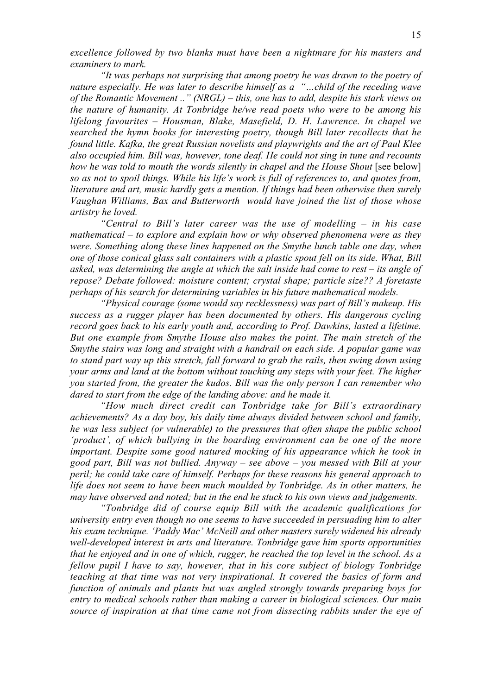*excellence followed by two blanks must have been a nightmare for his masters and examiners to mark.*

*"It was perhaps not surprising that among poetry he was drawn to the poetry of nature especially. He was later to describe himself as a "…child of the receding wave of the Romantic Movement .." (NRGL) – this, one has to add, despite his stark views on the nature of humanity. At Tonbridge he/we read poets who were to be among his lifelong favourites – Housman, Blake, Masefield, D. H. Lawrence. In chapel we searched the hymn books for interesting poetry, though Bill later recollects that he found little. Kafka, the great Russian novelists and playwrights and the art of Paul Klee also occupied him. Bill was, however, tone deaf. He could not sing in tune and recounts how he was told to mouth the words silently in chapel and the House Shout* [see below] *so as not to spoil things. While his life's work is full of references to, and quotes from, literature and art, music hardly gets a mention. If things had been otherwise then surely Vaughan Williams, Bax and Butterworth would have joined the list of those whose artistry he loved.*

*"Central to Bill's later career was the use of modelling – in his case mathematical – to explore and explain how or why observed phenomena were as they were. Something along these lines happened on the Smythe lunch table one day, when one of those conical glass salt containers with a plastic spout fell on its side. What, Bill asked, was determining the angle at which the salt inside had come to rest – its angle of repose? Debate followed: moisture content; crystal shape; particle size?? A foretaste perhaps of his search for determining variables in his future mathematical models.*

*"Physical courage (some would say recklessness) was part of Bill's makeup. His success as a rugger player has been documented by others. His dangerous cycling record goes back to his early youth and, according to Prof. Dawkins, lasted a lifetime. But one example from Smythe House also makes the point. The main stretch of the Smythe stairs was long and straight with a handrail on each side. A popular game was to stand part way up this stretch, fall forward to grab the rails, then swing down using your arms and land at the bottom without touching any steps with your feet. The higher you started from, the greater the kudos. Bill was the only person I can remember who dared to start from the edge of the landing above: and he made it.*

*"How much direct credit can Tonbridge take for Bill's extraordinary achievements? As a day boy, his daily time always divided between school and family, he was less subject (or vulnerable) to the pressures that often shape the public school 'product', of which bullying in the boarding environment can be one of the more important. Despite some good natured mocking of his appearance which he took in good part, Bill was not bullied. Anyway – see above – you messed with Bill at your peril; he could take care of himself. Perhaps for these reasons his general approach to life does not seem to have been much moulded by Tonbridge. As in other matters, he may have observed and noted; but in the end he stuck to his own views and judgements.*

*"Tonbridge did of course equip Bill with the academic qualifications for university entry even though no one seems to have succeeded in persuading him to alter his exam technique. 'Paddy Mac' McNeill and other masters surely widened his already well-developed interest in arts and literature. Tonbridge gave him sports opportunities that he enjoyed and in one of which, rugger, he reached the top level in the school. As a fellow pupil I have to say, however, that in his core subject of biology Tonbridge teaching at that time was not very inspirational. It covered the basics of form and function of animals and plants but was angled strongly towards preparing boys for entry to medical schools rather than making a career in biological sciences. Our main source of inspiration at that time came not from dissecting rabbits under the eye of*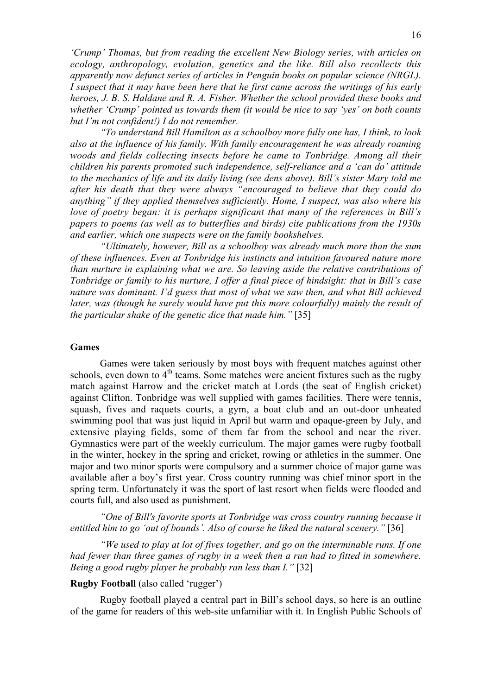*'Crump' Thomas, but from reading the excellent New Biology series, with articles on ecology, anthropology, evolution, genetics and the like. Bill also recollects this apparently now defunct series of articles in Penguin books on popular science (NRGL). I suspect that it may have been here that he first came across the writings of his early heroes, J. B. S. Haldane and R. A. Fisher. Whether the school provided these books and whether 'Crump' pointed us towards them (it would be nice to say 'yes' on both counts but I'm not confident!) I do not remember.*

*"To understand Bill Hamilton as a schoolboy more fully one has, I think, to look also at the influence of his family. With family encouragement he was already roaming woods and fields collecting insects before he came to Tonbridge. Among all their children his parents promoted such independence, self-reliance and a 'can do' attitude to the mechanics of life and its daily living (see dens above). Bill's sister Mary told me after his death that they were always "encouraged to believe that they could do anything" if they applied themselves sufficiently. Home, I suspect, was also where his love of poetry began: it is perhaps significant that many of the references in Bill's papers to poems (as well as to butterflies and birds) cite publications from the 1930s and earlier, which one suspects were on the family bookshelves.*

*"Ultimately, however, Bill as a schoolboy was already much more than the sum of these influences. Even at Tonbridge his instincts and intuition favoured nature more than nurture in explaining what we are. So leaving aside the relative contributions of Tonbridge or family to his nurture, I offer a final piece of hindsight: that in Bill's case nature was dominant. I'd guess that most of what we saw then, and what Bill achieved later, was (though he surely would have put this more colourfully) mainly the result of the particular shake of the genetic dice that made him."* [35]

# Games

Games were taken seriously by most boys with frequent matches against other schools, even down to  $4<sup>th</sup>$  teams. Some matches were ancient fixtures such as the rugby match against Harrow and the cricket match at Lords (the seat of English cricket) against Clifton. Tonbridge was well supplied with games facilities. There were tennis, squash, fives and raquets courts, a gym, a boat club and an out-door unheated swimming pool that was just liquid in April but warm and opaque-green by July, and extensive playing fields, some of them far from the school and near the river. Gymnastics were part of the weekly curriculum. The major games were rugby football in the winter, hockey in the spring and cricket, rowing or athletics in the summer. One major and two minor sports were compulsory and a summer choice of major game was available after a boy's first year. Cross country running was chief minor sport in the spring term. Unfortunately it was the sport of last resort when fields were flooded and courts full, and also used as punishment.

*"One of Bill's favorite sports at Tonbridge was cross country running because it entitled him to go 'out of bounds'. Also of course he liked the natural scenery."* [36]

*"We used to play at lot of fives together, and go on the interminable runs. If one had fewer than three games of rugby in a week then a run had to fitted in somewhere. Being a good rugby player he probably ran less than I."* [32]

# Rugby Football (also called 'rugger')

Rugby football played a central part in Bill's school days, so here is an outline of the game for readers of this web-site unfamiliar with it. In English Public Schools of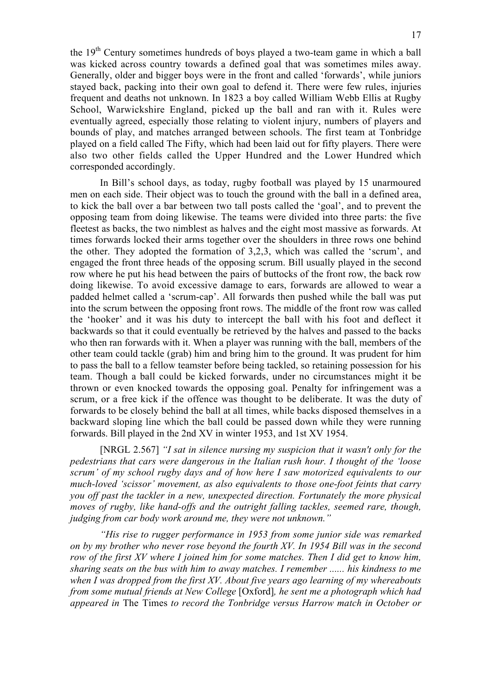the  $19<sup>th</sup>$  Century sometimes hundreds of boys played a two-team game in which a ball was kicked across country towards a defined goal that was sometimes miles away. Generally, older and bigger boys were in the front and called 'forwards', while juniors stayed back, packing into their own goal to defend it. There were few rules, injuries frequent and deaths not unknown. In 1823 a boy called William Webb Ellis at Rugby School, Warwickshire England, picked up the ball and ran with it. Rules were eventually agreed, especially those relating to violent injury, numbers of players and bounds of play, and matches arranged between schools. The first team at Tonbridge played on a field called The Fifty, which had been laid out for fifty players. There were also two other fields called the Upper Hundred and the Lower Hundred which corresponded accordingly.

In Bill's school days, as today, rugby football was played by 15 unarmoured men on each side. Their object was to touch the ground with the ball in a defined area, to kick the ball over a bar between two tall posts called the 'goal', and to prevent the opposing team from doing likewise. The teams were divided into three parts: the five fleetest as backs, the two nimblest as halves and the eight most massive as forwards. At times forwards locked their arms together over the shoulders in three rows one behind the other. They adopted the formation of 3,2,3, which was called the 'scrum', and engaged the front three heads of the opposing scrum. Bill usually played in the second row where he put his head between the pairs of buttocks of the front row, the back row doing likewise. To avoid excessive damage to ears, forwards are allowed to wear a padded helmet called a 'scrum-cap'. All forwards then pushed while the ball was put into the scrum between the opposing front rows. The middle of the front row was called the 'hooker' and it was his duty to intercept the ball with his foot and deflect it backwards so that it could eventually be retrieved by the halves and passed to the backs who then ran forwards with it. When a player was running with the ball, members of the other team could tackle (grab) him and bring him to the ground. It was prudent for him to pass the ball to a fellow teamster before being tackled, so retaining possession for his team. Though a ball could be kicked forwards, under no circumstances might it be thrown or even knocked towards the opposing goal. Penalty for infringement was a scrum, or a free kick if the offence was thought to be deliberate. It was the duty of forwards to be closely behind the ball at all times, while backs disposed themselves in a backward sloping line which the ball could be passed down while they were running forwards. Bill played in the 2nd XV in winter 1953, and 1st XV 1954.

[NRGL 2.567] *"I sat in silence nursing my suspicion that it wasn't only for the pedestrians that cars were dangerous in the Italian rush hour. I thought of the 'loose scrum' of my school rugby days and of how here I saw motorized equivalents to our much-loved 'scissor' movement, as also equivalents to those one-foot feints that carry you off past the tackler in a new, unexpected direction. Fortunately the more physical moves of rugby, like hand-offs and the outright falling tackles, seemed rare, though, judging from car body work around me, they were not unknown."*

*"His rise to rugger performance in 1953 from some junior side was remarked on by my brother who never rose beyond the fourth XV. In 1954 Bill was in the second row of the first XV where I joined him for some matches. Then I did get to know him, sharing seats on the bus with him to away matches. I remember ...... his kindness to me when I was dropped from the first XV. About five years ago learning of my whereabouts from some mutual friends at New College* [Oxford]*, he sent me a photograph which had appeared in* The Times *to record the Tonbridge versus Harrow match in October or*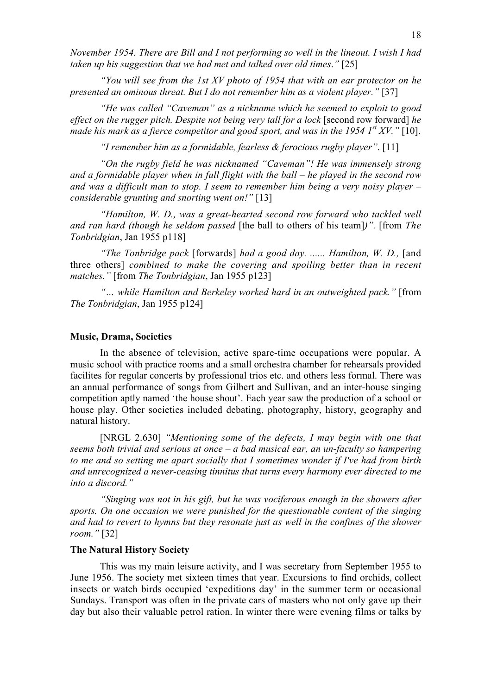*November 1954. There are Bill and I not performing so well in the lineout. I wish I had taken up his suggestion that we had met and talked over old times*.*"* [25]

*"You will see from the 1st XV photo of 1954 that with an ear protector on he presented an ominous threat. But I do not remember him as a violent player."* [37]

*"He was called "Caveman" as a nickname which he seemed to exploit to good effect on the rugger pitch. Despite not being very tall for a lock* [second row forward] *he made his mark as a fierce competitor and good sport, and was in the 1954 1st XV."* [10].

*"I remember him as a formidable, fearless & ferocious rugby player"*. [11]

*"On the rugby field he was nicknamed "Caveman"! He was immensely strong and a formidable player when in full flight with the ball – he played in the second row and was a difficult man to stop. I seem to remember him being a very noisy player – considerable grunting and snorting went on!"* [13]

*"Hamilton, W. D., was a great-hearted second row forward who tackled well and ran hard (though he seldom passed* [the ball to others of his team]*)".* [from *The Tonbridgian*, Jan 1955 p118]

*"The Tonbridge pack* [forwards] *had a good day. ...... Hamilton, W. D.,* [and three others] *combined to make the covering and spoiling better than in recent matches."* [from *The Tonbridgian*, Jan 1955 p123]

*"… while Hamilton and Berkeley worked hard in an outweighted pack."* [from *The Tonbridgian*, Jan 1955 p124]

## Music, Drama, Societies

In the absence of television, active spare-time occupations were popular. A music school with practice rooms and a small orchestra chamber for rehearsals provided facilites for regular concerts by professional trios etc. and others less formal. There was an annual performance of songs from Gilbert and Sullivan, and an inter-house singing competition aptly named 'the house shout'. Each year saw the production of a school or house play. Other societies included debating, photography, history, geography and natural history.

[NRGL 2.630] *"Mentioning some of the defects, I may begin with one that seems both trivial and serious at once – a bad musical ear, an un-faculty so hampering to me and so setting me apart socially that I sometimes wonder if I've had from birth and unrecognized a never-ceasing tinnitus that turns every harmony ever directed to me into a discord."*

*"Singing was not in his gift, but he was vociferous enough in the showers after sports. On one occasion we were punished for the questionable content of the singing and had to revert to hymns but they resonate just as well in the confines of the shower room."* [32]

# The Natural History Society

This was my main leisure activity, and I was secretary from September 1955 to June 1956. The society met sixteen times that year. Excursions to find orchids, collect insects or watch birds occupied 'expeditions day' in the summer term or occasional Sundays. Transport was often in the private cars of masters who not only gave up their day but also their valuable petrol ration. In winter there were evening films or talks by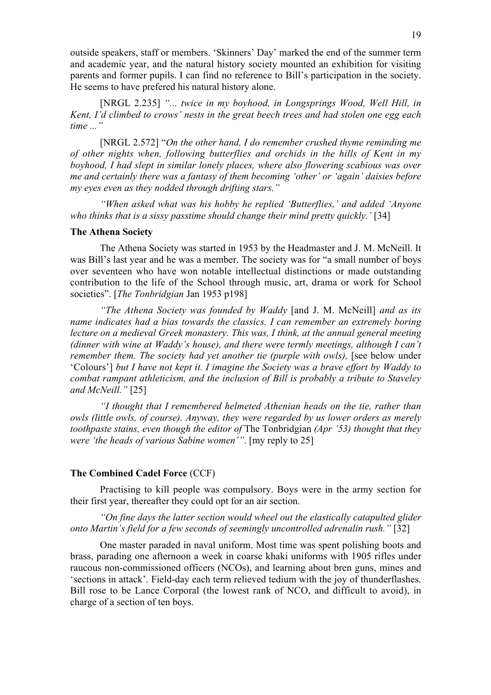outside speakers, staff or members. 'Skinners' Day' marked the end of the summer term and academic year, and the natural history society mounted an exhibition for visiting parents and former pupils. I can find no reference to Bill's participation in the society. He seems to have prefered his natural history alone.

[NRGL 2.235] *"... twice in my boyhood, in Longsprings Wood, Well Hill, in Kent, I'd climbed to crows' nests in the great beech trees and had stolen one egg each time ..."*

[NRGL 2.572] "*On the other hand, I do remember crushed thyme reminding me of other nights when, following butterflies and orchids in the hills of Kent in my boyhood, I had slept in similar lonely places, where also flowering scabious was over me and certainly there was a fantasy of them becoming 'other' or 'again' daisies before my eyes even as they nodded through drifting stars."*

*"When asked what was his hobby he replied 'Butterflies,' and added 'Anyone* who thinks that is a sissy passtime should change their mind pretty quickly.' [34]

## The Athena Society

The Athena Society was started in 1953 by the Headmaster and J. M. McNeill. It was Bill's last year and he was a member. The society was for "a small number of boys over seventeen who have won notable intellectual distinctions or made outstanding contribution to the life of the School through music, art, drama or work for School societies". [*The Tonbridgian* Jan 1953 p198]

*"The Athena Society was founded by Waddy* [and J. M. McNeill] *and as its name indicates had a bias towards the classics. I can remember an extremely boring lecture on a medieval Greek monastery. This was, I think, at the annual general meeting (dinner with wine at Waddy's house), and there were termly meetings, although I can't remember them. The society had yet another tie (purple with owls),* [see below under 'Colours'] *but I have not kept it. I imagine the Society was a brave effort by Waddy to combat rampant athleticism, and the inclusion of Bill is probably a tribute to Staveley and McNeill."* [25]

*"I thought that I remembered helmeted Athenian heads on the tie, rather than owls (little owls, of course). Anyway, they were regarded by us lower orders as merely toothpaste stains, even though the editor of* The Tonbridgian *(Apr '53) thought that they were 'the heads of various Sabine women'"*. [my reply to 25]

### The Combined Cadel Force (CCF)

Practising to kill people was compulsory. Boys were in the army section for their first year, thereafter they could opt for an air section.

*"On fine days the latter section would wheel out the elastically catapulted glider onto Martin's field for a few seconds of seemingly uncontrolled adrenalin rush."* [32]

One master paraded in naval uniform. Most time was spent polishing boots and brass, parading one afternoon a week in coarse khaki uniforms with 1905 rifles under raucous non-commissioned officers (NCOs), and learning about bren guns, mines and 'sections in attack'. Field-day each term relieved tedium with the joy of thunderflashes. Bill rose to be Lance Corporal (the lowest rank of NCO, and difficult to avoid), in charge of a section of ten boys.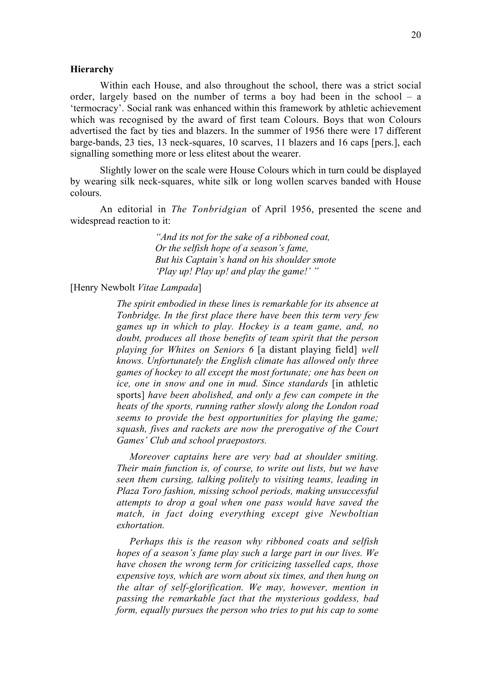### Hierarchy

Within each House, and also throughout the school, there was a strict social order, largely based on the number of terms a boy had been in the school – a 'termocracy'. Social rank was enhanced within this framework by athletic achievement which was recognised by the award of first team Colours. Boys that won Colours advertised the fact by ties and blazers. In the summer of 1956 there were 17 different barge-bands, 23 ties, 13 neck-squares, 10 scarves, 11 blazers and 16 caps [pers.], each signalling something more or less elitest about the wearer.

Slightly lower on the scale were House Colours which in turn could be displayed by wearing silk neck-squares, white silk or long wollen scarves banded with House colours.

An editorial in *The Tonbridgian* of April 1956, presented the scene and widespread reaction to it:

> *"And its not for the sake of a ribboned coat, Or the selfish hope of a season's fame, But his Captain's hand on his shoulder smote 'Play up! Play up! and play the game!' "*

[Henry Newbolt *Vitae Lampada*]

*The spirit embodied in these lines is remarkable for its absence at Tonbridge. In the first place there have been this term very few games up in which to play. Hockey is a team game, and, no doubt, produces all those benefits of team spirit that the person playing for Whites on Seniors 6* [a distant playing field] *well knows. Unfortunately the English climate has allowed only three games of hockey to all except the most fortunate; one has been on ice, one in snow and one in mud. Since standards* [in athletic sports] *have been abolished, and only a few can compete in the heats of the sports, running rather slowly along the London road seems to provide the best opportunities for playing the game; squash, fives and rackets are now the prerogative of the Court Games' Club and school praepostors.*

*Moreover captains here are very bad at shoulder smiting. Their main function is, of course, to write out lists, but we have seen them cursing, talking politely to visiting teams, leading in Plaza Toro fashion, missing school periods, making unsuccessful attempts to drop a goal when one pass would have saved the match, in fact doing everything except give Newboltian exhortation.*

*Perhaps this is the reason why ribboned coats and selfish hopes of a season's fame play such a large part in our lives. We have chosen the wrong term for criticizing tasselled caps, those expensive toys, which are worn about six times, and then hung on the altar of self-glorification. We may, however, mention in passing the remarkable fact that the mysterious goddess, bad form, equally pursues the person who tries to put his cap to some*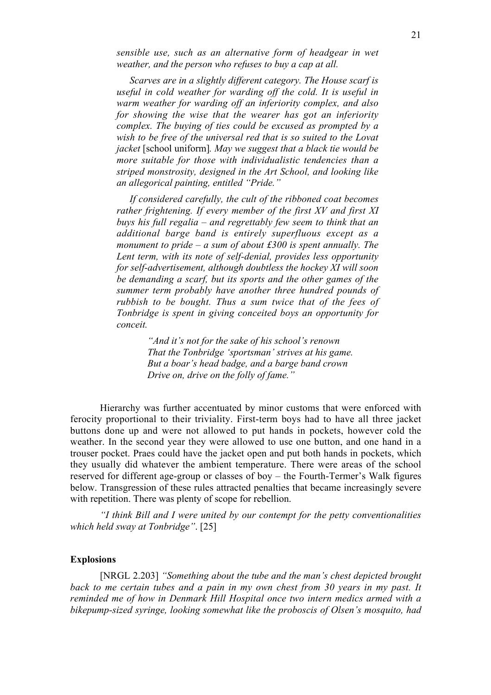*sensible use, such as an alternative form of headgear in wet weather, and the person who refuses to buy a cap at all.*

*Scarves are in a slightly different category. The House scarf is useful in cold weather for warding off the cold. It is useful in warm weather for warding off an inferiority complex, and also for showing the wise that the wearer has got an inferiority complex. The buying of ties could be excused as prompted by a wish to be free of the universal red that is so suited to the Lovat jacket* [school uniform]*. May we suggest that a black tie would be more suitable for those with individualistic tendencies than a striped monstrosity, designed in the Art School, and looking like an allegorical painting, entitled "Pride."*

*If considered carefully, the cult of the ribboned coat becomes rather frightening. If every member of the first XV and first XI buys his full regalia – and regrettably few seem to think that an additional barge band is entirely superfluous except as a monument to pride – a sum of about £300 is spent annually. The Lent term, with its note of self-denial, provides less opportunity for self-advertisement, although doubtless the hockey XI will soon be demanding a scarf, but its sports and the other games of the summer term probably have another three hundred pounds of rubbish to be bought. Thus a sum twice that of the fees of Tonbridge is spent in giving conceited boys an opportunity for conceit.*

> *"And it's not for the sake of his school's renown That the Tonbridge 'sportsman' strives at his game. But a boar's head badge, and a barge band crown Drive on, drive on the folly of fame."*

Hierarchy was further accentuated by minor customs that were enforced with ferocity proportional to their triviality. First-term boys had to have all three jacket buttons done up and were not allowed to put hands in pockets, however cold the weather. In the second year they were allowed to use one button, and one hand in a trouser pocket. Praes could have the jacket open and put both hands in pockets, which they usually did whatever the ambient temperature. There were areas of the school reserved for different age-group or classes of boy – the Fourth-Termer's Walk figures below. Transgression of these rules attracted penalties that became increasingly severe with repetition. There was plenty of scope for rebellion.

*"I think Bill and I were united by our contempt for the petty conventionalities which held sway at Tonbridge"*. [25]

## Explosions

[NRGL 2.203] *"Something about the tube and the man's chest depicted brought back to me certain tubes and a pain in my own chest from 30 years in my past. It reminded me of how in Denmark Hill Hospital once two intern medics armed with a bikepump-sized syringe, looking somewhat like the proboscis of Olsen's mosquito, had*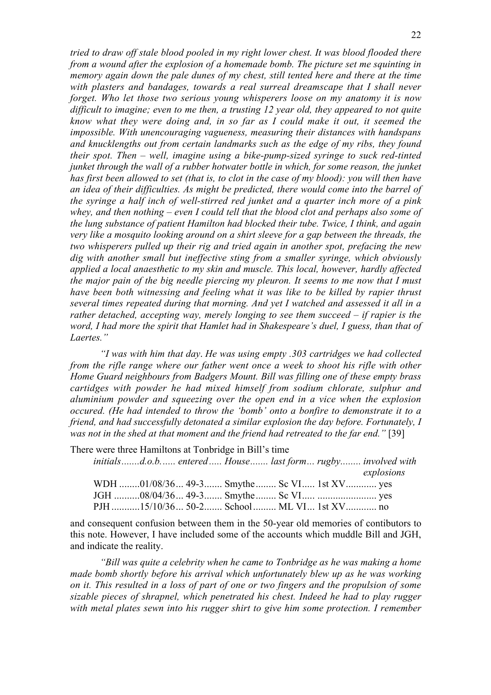*tried to draw off stale blood pooled in my right lower chest. It was blood flooded there from a wound after the explosion of a homemade bomb. The picture set me squinting in memory again down the pale dunes of my chest, still tented here and there at the time with plasters and bandages, towards a real surreal dreamscape that I shall never forget. Who let those two serious young whisperers loose on my anatomy it is now difficult to imagine; even to me then, a trusting 12 year old, they appeared to not quite know what they were doing and, in so far as I could make it out, it seemed the impossible. With unencouraging vagueness, measuring their distances with handspans and knucklengths out from certain landmarks such as the edge of my ribs, they found their spot. Then – well, imagine using a bike-pump-sized syringe to suck red-tinted junket through the wall of a rubber hotwater bottle in which, for some reason, the junket has first been allowed to set (that is, to clot in the case of my blood): you will then have an idea of their difficulties. As might be predicted, there would come into the barrel of the syringe a half inch of well-stirred red junket and a quarter inch more of a pink whey, and then nothing – even I could tell that the blood clot and perhaps also some of the lung substance of patient Hamilton had blocked their tube. Twice, I think, and again very like a mosquito looking around on a shirt sleeve for a gap between the threads, the two whisperers pulled up their rig and tried again in another spot, prefacing the new dig with another small but ineffective sting from a smaller syringe, which obviously applied a local anaesthetic to my skin and muscle. This local, however, hardly affected the major pain of the big needle piercing my pleuron. It seems to me now that I must have been both witnessing and feeling what it was like to be killed by rapier thrust several times repeated during that morning. And yet I watched and assessed it all in a rather detached, accepting way, merely longing to see them succeed – if rapier is the word, I had more the spirit that Hamlet had in Shakespeare's duel, I guess, than that of Laertes."*

*"I was with him that day*. *He was using empty .303 cartridges we had collected from the rifle range where our father went once a week to shoot his rifle with other Home Guard neighbours from Badgers Mount. Bill was filling one of these empty brass cartidges with powder he had mixed himself from sodium chlorate, sulphur and aluminium powder and squeezing over the open end in a vice when the explosion occured. (He had intended to throw the 'bomb' onto a bonfire to demonstrate it to a friend, and had successfully detonated a similar explosion the day before. Fortunately, I was not in the shed at that moment and the friend had retreated to the far end."* [39]

There were three Hamiltons at Tonbridge in Bill's time

|                                               |  |  | initialsd.o.b entered House last form rugby involved with |
|-----------------------------------------------|--|--|-----------------------------------------------------------|
|                                               |  |  | explosions                                                |
| WDH 01/08/36 49-3 Smythe Sc VI 1st XV yes     |  |  |                                                           |
|                                               |  |  |                                                           |
| PJH 15/10/36  50-2  School  ML VI  1st XV  no |  |  |                                                           |

and consequent confusion between them in the 50-year old memories of contibutors to this note. However, I have included some of the accounts which muddle Bill and JGH, and indicate the reality.

*"Bill was quite a celebrity when he came to Tonbridge as he was making a home made bomb shortly before his arrival which unfortunately blew up as he was working on it. This resulted in a loss of part of one or two fingers and the propulsion of some sizable pieces of shrapnel, which penetrated his chest. Indeed he had to play rugger with metal plates sewn into his rugger shirt to give him some protection. I remember*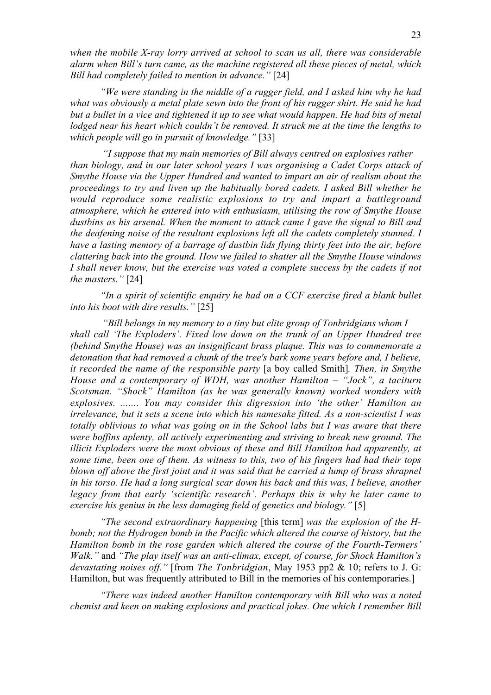*when the mobile X-ray lorry arrived at school to scan us all, there was considerable alarm when Bill's turn came, as the machine registered all these pieces of metal, which Bill had completely failed to mention in advance."* [24]

*"We were standing in the middle of a rugger field, and I asked him why he had what was obviously a metal plate sewn into the front of his rugger shirt. He said he had but a bullet in a vice and tightened it up to see what would happen. He had bits of metal lodged near his heart which couldn't be removed. It struck me at the time the lengths to which people will go in pursuit of knowledge."* [33]

 *"I suppose that my main memories of Bill always centred on explosives rather than biology, and in our later school years I was organising a Cadet Corps attack of Smythe House via the Upper Hundred and wanted to impart an air of realism about the proceedings to try and liven up the habitually bored cadets. I asked Bill whether he would reproduce some realistic explosions to try and impart a battleground atmosphere, which he entered into with enthusiasm, utilising the row of Smythe House dustbins as his arsenal. When the moment to attack came I gave the signal to Bill and the deafening noise of the resultant explosions left all the cadets completely stunned. I have a lasting memory of a barrage of dustbin lids flying thirty feet into the air, before clattering back into the ground. How we failed to shatter all the Smythe House windows I shall never know, but the exercise was voted a complete success by the cadets if not the masters."* [24]

*"In a spirit of scientific enquiry he had on a CCF exercise fired a blank bullet into his boot with dire results."* [25]

 *"Bill belongs in my memory to a tiny but elite group of Tonbridgians whom I shall call 'The Exploders'. Fixed low down on the trunk of an Upper Hundred tree (behind Smythe House) was an insignificant brass plaque. This was to commemorate a detonation that had removed a chunk of the tree's bark some years before and, I believe, it recorded the name of the responsible party* [a boy called Smith]*. Then, in Smythe House and a contemporary of WDH, was another Hamilton – "Jock", a taciturn Scotsman. "Shock" Hamilton (as he was generally known) worked wonders with explosives. ....... You may consider this digression into 'the other' Hamilton an irrelevance, but it sets a scene into which his namesake fitted. As a non-scientist I was totally oblivious to what was going on in the School labs but I was aware that there were boffins aplenty, all actively experimenting and striving to break new ground. The illicit Exploders were the most obvious of these and Bill Hamilton had apparently, at some time, been one of them. As witness to this, two of his fingers had had their tops blown off above the first joint and it was said that he carried a lump of brass shrapnel in his torso. He had a long surgical scar down his back and this was, I believe, another legacy from that early 'scientific research'. Perhaps this is why he later came to exercise his genius in the less damaging field of genetics and biology."* [5]

*"The second extraordinary happening* [this term] *was the explosion of the Hbomb; not the Hydrogen bomb in the Pacific which altered the course of history, but the Hamilton bomb in the rose garden which altered the course of the Fourth-Termers' Walk."* and *"The play itself was an anti-climax, except, of course, for Shock Hamilton's devastating noises off."* [from *The Tonbridgian*, May 1953 pp2 & 10; refers to J. G: Hamilton, but was frequently attributed to Bill in the memories of his contemporaries.]

*"There was indeed another Hamilton contemporary with Bill who was a noted chemist and keen on making explosions and practical jokes. One which I remember Bill*